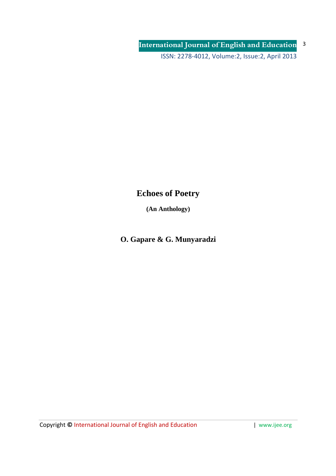# **Echoes of Poetry**

**(An Anthology)** 

**O. Gapare & G. Munyaradzi**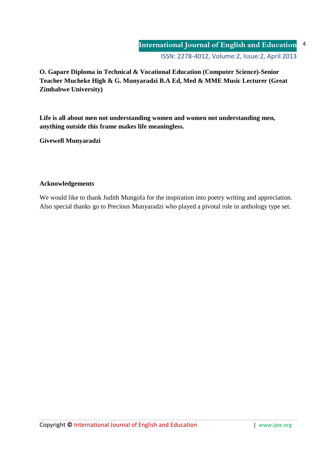**O. Gapare Diploma in Technical & Vocational Education (Computer Science)-Senior Teacher Mucheke High & G. Munyaradzi B.A Ed, Med & MME Music Lecturer (Great Zimbabwe University)** 

**Life is all about men not understanding women and women not understanding men, anything outside this frame makes life meaningless.**

**Givewell Munyaradzi** 

# **Acknowledgements**

We would like to thank Judith Mungofa for the inspiration into poetry writing and appreciation. Also special thanks go to Precious Munyaradzi who played a pivotal role in anthology type set.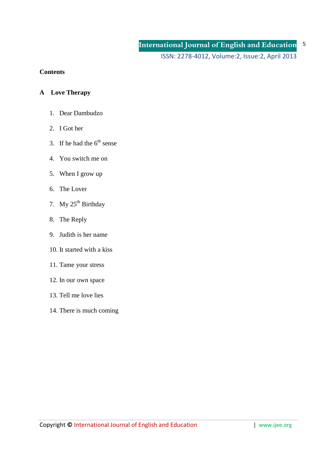ISSN: 2278-4012, Volume:2, Issue:2, April 2013

## **Contents**

## **A Love Therapy**

- 1. Dear Dambudzo
- 2. I Got her
- 3. If he had the  $6<sup>th</sup>$  sense
- 4. You switch me on
- 5. When I grow up
- 6. The Lover
- 7. My  $25^{th}$  Birthday
- 8. The Reply
- 9. Judith is her name
- 10. It started with a kiss
- 11. Tame your stress
- 12. In our own space
- 13. Tell me love lies
- 14. There is much coming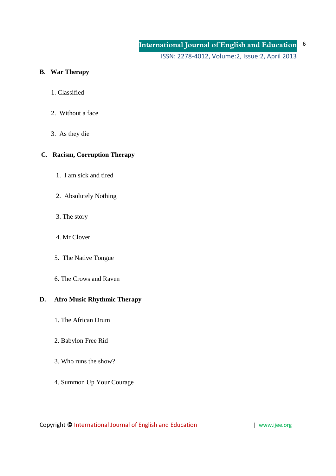## **B**. **War Therapy**

- 1. Classified
- 2. Without a face
- 3. As they die

# **C. Racism, Corruption Therapy**

- 1. I am sick and tired
- 2. Absolutely Nothing
- 3. The story
- 4. Mr Clover
- 5. The Native Tongue
- 6. The Crows and Raven

## **D. Afro Music Rhythmic Therapy**

- 1. The African Drum
- 2. Babylon Free Rid
- 3. Who runs the show?
- 4. Summon Up Your Courage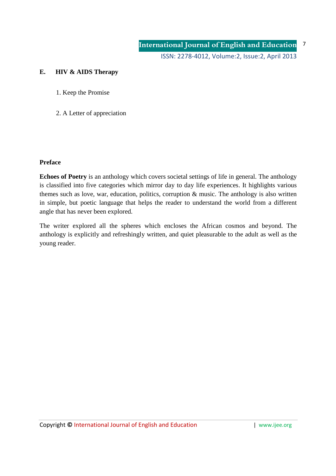# **E. HIV & AIDS Therapy**

- 1. Keep the Promise
- 2. A Letter of appreciation

## **Preface**

**Echoes of Poetry** is an anthology which covers societal settings of life in general. The anthology is classified into five categories which mirror day to day life experiences. It highlights various themes such as love, war, education, politics, corruption & music. The anthology is also written in simple, but poetic language that helps the reader to understand the world from a different angle that has never been explored.

The writer explored all the spheres which encloses the African cosmos and beyond. The anthology is explicitly and refreshingly written, and quiet pleasurable to the adult as well as the young reader.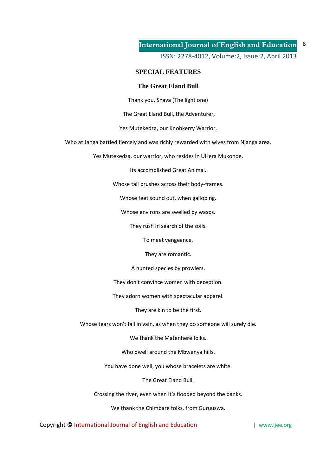ISSN: 2278-4012, Volume:2, Issue:2, April 2013

## **SPECIAL FEATURES**

### **The Great Eland Bull**

Thank you, Shava (The light one)

The Great Eland Bull, the Adventurer,

Yes Mutekedza, our Knobkerry Warrior,

Who at Janga battled fiercely and was richly rewarded with wives from Njanga area.

Yes Mutekedza, our warrior, who resides in UHera Mukonde.

Its accomplished Great Animal.

Whose tail brushes across their body-frames.

Whose feet sound out, when galloping.

Whose environs are swelled by wasps.

They rush in search of the soils.

To meet vengeance.

They are romantic.

A hunted species by prowlers.

They don't convince women with deception.

They adorn women with spectacular apparel.

They are kin to be the first.

Whose tears won't fall in vain, as when they do someone will surely die.

We thank the Matenhere folks.

Who dwell around the Mbwenya hills.

You have done well, you whose bracelets are white.

The Great Eland Bull.

Crossing the river, even when it's flooded beyond the banks.

We thank the Chimbare folks, from Guruuswa.

Copyright © International Journal of English and Education **| www.ijee.org** | www.ijee.org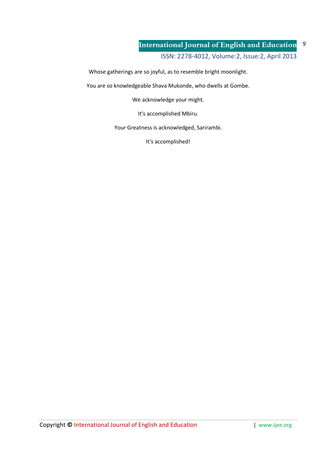ISSN: 2278-4012, Volume:2, Issue:2, April 2013

Whose gatherings are so joyful, as to resemble bright moonlight.

You are so knowledgeable Shava Mukonde, who dwells at Gombe.

We acknowledge your might.

It's accomplished Mbiru.

Your Greatness is acknowledged, Sarirambi.

It's accomplished!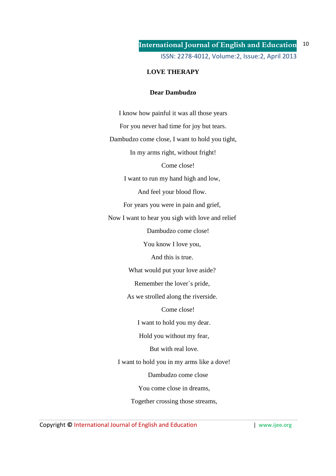## **LOVE THERAPY**

### **Dear Dambudzo**

I know how painful it was all those years For you never had time for joy but tears. Dambudzo come close, I want to hold you tight, In my arms right, without fright! Come close! I want to run my hand high and low, And feel your blood flow. For years you were in pain and grief, Now I want to hear you sigh with love and relief Dambudzo come close! You know I love you, And this is true. What would put your love aside? Remember the lover`s pride, As we strolled along the riverside. Come close! I want to hold you my dear. Hold you without my fear, But with real love. I want to hold you in my arms like a dove! Dambudzo come close You come close in dreams, Together crossing those streams,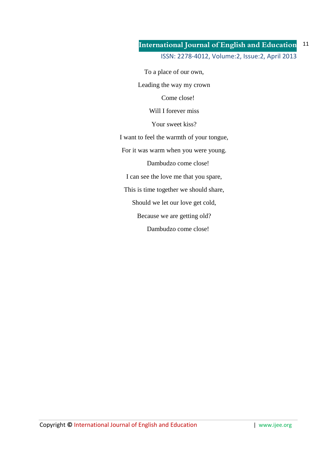To a place of our own,

Leading the way my crown

Come close!

Will I forever miss

Your sweet kiss?

I want to feel the warmth of your tongue,

For it was warm when you were young.

Dambudzo come close!

I can see the love me that you spare,

This is time together we should share,

Should we let our love get cold,

Because we are getting old?

Dambudzo come close!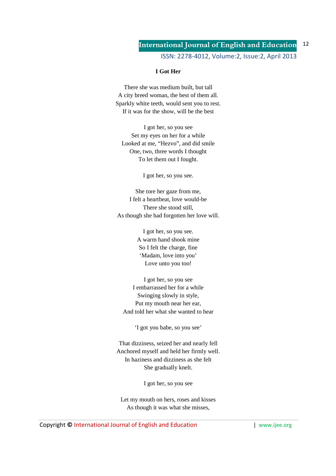ISSN: 2278-4012, Volume:2, Issue:2, April 2013

### **I Got Her**

There she was medium built, but tall A city breed woman, the best of them all. Sparkly white teeth, would sent you to rest. If it was for the show, will be the best

I got her, so you see Set my eyes on her for a while Looked at me, "Hezvo", and did smile One, two, three words I thought To let them out I fought.

I got her, so you see.

She tore her gaze from me, I felt a heartbeat, love would-be There she stood still, As though she had forgotten her love will.

> I got her, so you see. A warm hand shook mine So I felt the charge, fine 'Madam, love into you' Love unto you too!

I got her, so you see I embarrassed her for a while Swinging slowly in style, Put my mouth near her ear, And told her what she wanted to hear

'I got you babe, so you see'

That dizziness, seized her and nearly fell Anchored myself and held her firmly well. In haziness and dizziness as she felt She gradually knelt.

I got her, so you see

Let my mouth on hers, roses and kisses As though it was what she misses,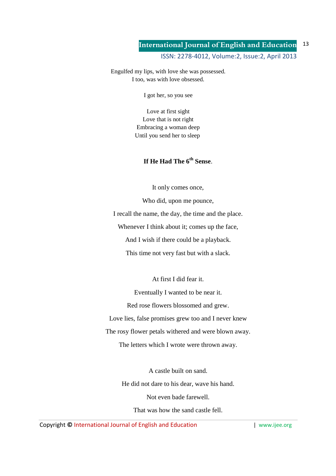Engulfed my lips, with love she was possessed. I too, was with love obsessed.

I got her, so you see

Love at first sight Love that is not right Embracing a woman deep Until you send her to sleep

# **If He Had The 6th Sense**.

It only comes once,

Who did, upon me pounce, I recall the name, the day, the time and the place. Whenever I think about it; comes up the face, And I wish if there could be a playback.

This time not very fast but with a slack.

At first I did fear it.

Eventually I wanted to be near it. Red rose flowers blossomed and grew. Love lies, false promises grew too and I never knew The rosy flower petals withered and were blown away. The letters which I wrote were thrown away.

> A castle built on sand. He did not dare to his dear, wave his hand. Not even bade farewell. That was how the sand castle fell.

Copyright © International Journal of English and Education | www.ijee.org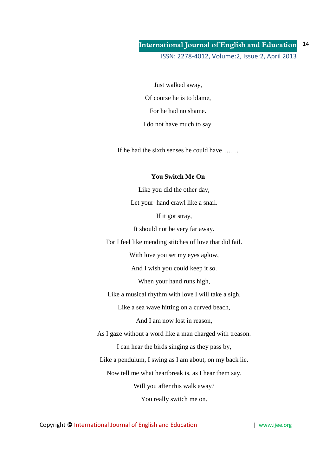Just walked away, Of course he is to blame, For he had no shame. I do not have much to say.

If he had the sixth senses he could have……..

### **You Switch Me On**

Like you did the other day, Let your hand crawl like a snail.

If it got stray,

It should not be very far away.

For I feel like mending stitches of love that did fail.

With love you set my eyes aglow,

And I wish you could keep it so.

When your hand runs high,

Like a musical rhythm with love I will take a sigh.

Like a sea wave hitting on a curved beach,

And I am now lost in reason,

As I gaze without a word like a man charged with treason.

I can hear the birds singing as they pass by,

Like a pendulum, I swing as I am about, on my back lie.

Now tell me what heartbreak is, as I hear them say.

Will you after this walk away?

You really switch me on.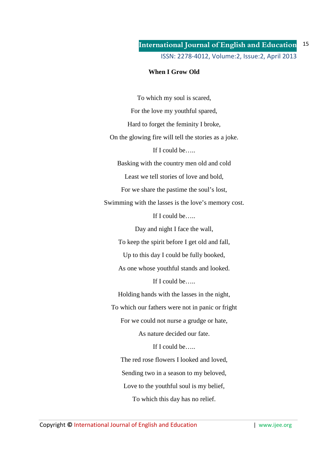## **When I Grow Old**

To which my soul is scared, For the love my youthful spared, Hard to forget the feminity I broke, On the glowing fire will tell the stories as a joke. If I could be….. Basking with the country men old and cold Least we tell stories of love and bold, For we share the pastime the soul's lost, Swimming with the lasses is the love's memory cost. If I could be….. Day and night I face the wall, To keep the spirit before I get old and fall, Up to this day I could be fully booked, As one whose youthful stands and looked. If I could be….. Holding hands with the lasses in the night, To which our fathers were not in panic or fright For we could not nurse a grudge or hate, As nature decided our fate. If I could be….. The red rose flowers I looked and loved, Sending two in a season to my beloved, Love to the youthful soul is my belief, To which this day has no relief.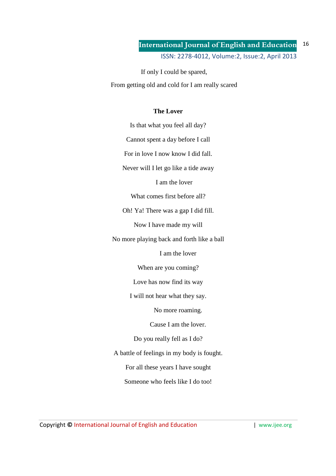If only I could be spared,

From getting old and cold for I am really scared

## **The Lover**

Is that what you feel all day? Cannot spent a day before I call

For in love I now know I did fall.

Never will I let go like a tide away

I am the lover

What comes first before all?

Oh! Ya! There was a gap I did fill.

Now I have made my will

No more playing back and forth like a ball

I am the lover

When are you coming?

Love has now find its way

I will not hear what they say.

No more roaming.

Cause I am the lover.

Do you really fell as I do?

A battle of feelings in my body is fought.

For all these years I have sought

Someone who feels like I do too!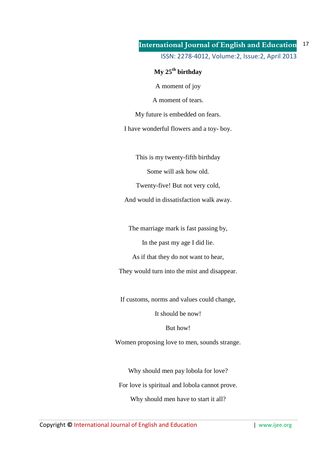# **My 25th birthday**

A moment of joy

A moment of tears.

My future is embedded on fears.

I have wonderful flowers and a toy- boy.

This is my twenty-fifth birthday

Some will ask how old.

Twenty-five! But not very cold,

And would in dissatisfaction walk away.

The marriage mark is fast passing by,

In the past my age I did lie.

As if that they do not want to hear,

They would turn into the mist and disappear.

If customs, norms and values could change,

It should be now!

But how!

Women proposing love to men, sounds strange.

Why should men pay lobola for love? For love is spiritual and lobola cannot prove.

Why should men have to start it all?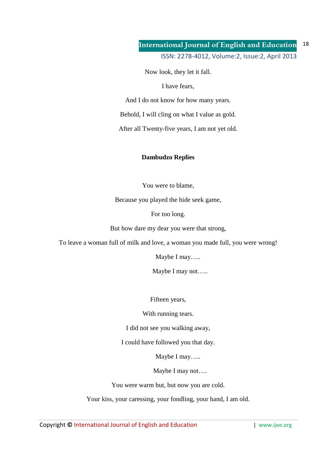Now look, they let it fall.

I have fears,

And I do not know for how many years.

Behold, I will cling on what I value as gold.

After all Twenty-five years, I am not yet old.

### **Dambudzo Replies**

You were to blame,

Because you played the hide seek game,

For too long.

But how dare my dear you were that strong,

To leave a woman full of milk and love, a woman you made full, you were wrong!

Maybe I may…..

Maybe I may not…..

Fifteen years,

With running tears.

I did not see you walking away,

I could have followed you that day.

Maybe I may…..

Maybe I may not….

You were warm but, but now you are cold.

Your kiss, your caressing, your fondling, your hand, I am old.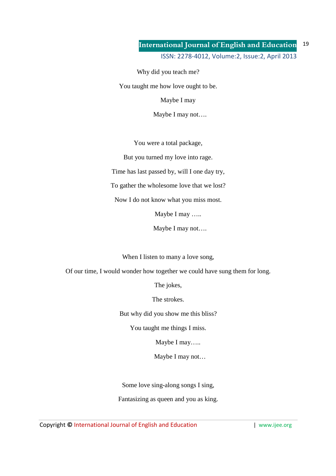Why did you teach me?

You taught me how love ought to be.

Maybe I may

Maybe I may not….

You were a total package,

But you turned my love into rage.

Time has last passed by, will I one day try,

To gather the wholesome love that we lost?

Now I do not know what you miss most.

Maybe I may …..

Maybe I may not….

When I listen to many a love song,

Of our time, I would wonder how together we could have sung them for long.

The jokes,

The strokes.

But why did you show me this bliss?

You taught me things I miss.

Maybe I may…..

Maybe I may not…

Some love sing-along songs I sing,

Fantasizing as queen and you as king.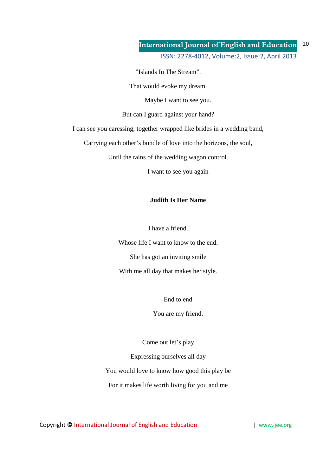"Islands In The Stream".

That would evoke my dream.

Maybe I want to see you.

But can I guard against your hand?

I can see you caressing, together wrapped like brides in a wedding band,

Carrying each other's bundle of love into the horizons, the soul,

Until the rains of the wedding wagon control.

I want to see you again

### **Judith Is Her Name**

I have a friend.

Whose life I want to know to the end. She has got an inviting smile With me all day that makes her style.

End to end

You are my friend.

Come out let's play

Expressing ourselves all day You would love to know how good this play be For it makes life worth living for you and me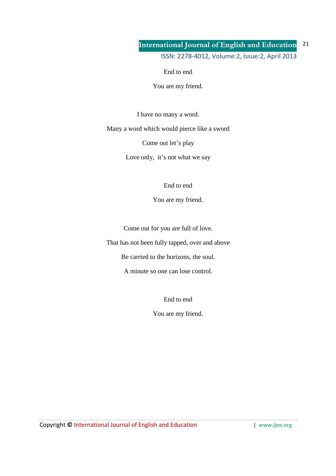End to end

You are my friend.

I have no many a word.

Many a word which would pierce like a sword

Come out let's play

Love only, it's not what we say

End to end

You are my friend.

Come out for you are full of love.

That has not been fully tapped, over and above

Be carried to the horizons, the soul.

A minute so one can lose control.

End to end

You are my friend.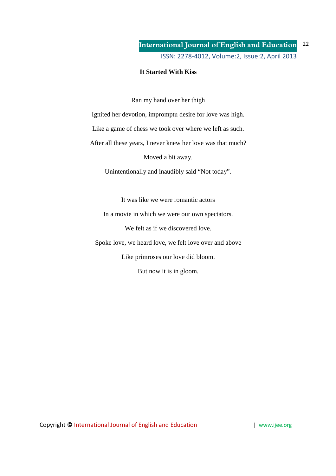## **It Started With Kiss**

Ran my hand over her thigh

Ignited her devotion, impromptu desire for love was high.

Like a game of chess we took over where we left as such.

After all these years, I never knew her love was that much?

Moved a bit away.

Unintentionally and inaudibly said "Not today".

It was like we were romantic actors

In a movie in which we were our own spectators.

We felt as if we discovered love.

Spoke love, we heard love, we felt love over and above

Like primroses our love did bloom.

But now it is in gloom.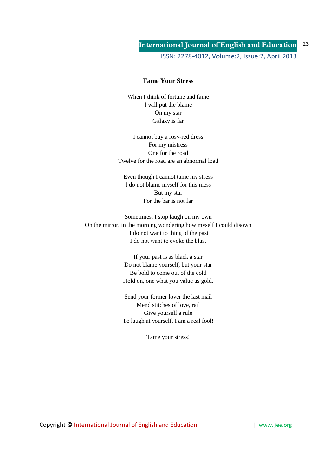### **Tame Your Stress**

When I think of fortune and fame I will put the blame On my star Galaxy is far

I cannot buy a rosy-red dress For my mistress One for the road Twelve for the road are an abnormal load

Even though I cannot tame my stress I do not blame myself for this mess But my star For the bar is not far

Sometimes, I stop laugh on my own On the mirror, in the morning wondering how myself I could disown I do not want to thing of the past I do not want to evoke the blast

> If your past is as black a star Do not blame yourself, but your star Be bold to come out of the cold Hold on, one what you value as gold.

> Send your former lover the last mail Mend stitches of love, rail Give yourself a rule To laugh at yourself, I am a real fool!

> > Tame your stress!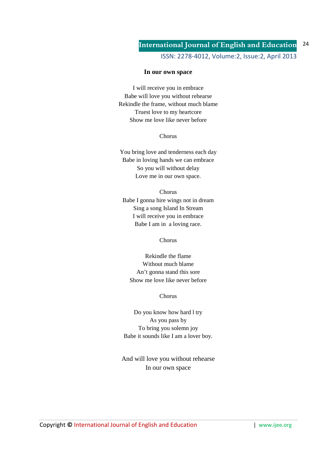ISSN: 2278-4012, Volume:2, Issue:2, April 2013

### **In our own space**

I will receive you in embrace Babe will love you without rehearse Rekindle the frame, without much blame Truest love to my heartcore Show me love like never before

### Chorus

You bring love and tenderness each day Babe in loving hands we can embrace So you will without delay Love me in our own space.

### Chorus

Babe I gonna hire wings not in dream Sing a song Island In Stream I will receive you in embrace Babe I am in a loving race.

### Chorus

Rekindle the flame Without much blame An't gonna stand this sore Show me love like never before

### Chorus

Do you know how hard l try As you pass by To bring you solemn joy Babe it sounds like I am a lover boy.

And will love you without rehearse In our own space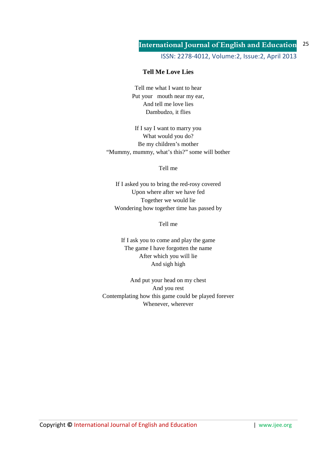ISSN: 2278-4012, Volume:2, Issue:2, April 2013

## **Tell Me Love Lies**

Tell me what I want to hear Put your mouth near my ear, And tell me love lies Dambudzo, it flies

If I say I want to marry you What would you do? Be my children's mother "Mummy, mummy, what's this?" some will bother

Tell me

If I asked you to bring the red-rosy covered Upon where after we have fed Together we would lie Wondering how together time has passed by

Tell me

If I ask you to come and play the game The game I have forgotten the name After which you will lie And sigh high

And put your head on my chest And you rest Contemplating how this game could be played forever Whenever, wherever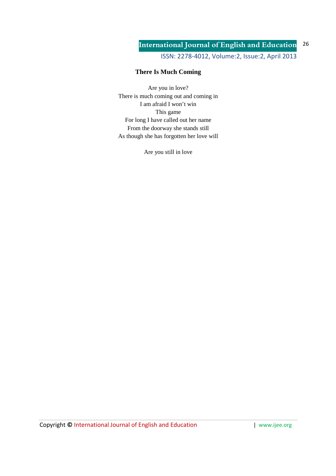ISSN: 2278-4012, Volume:2, Issue:2, April 2013

# **There Is Much Coming**

Are you in love? There is much coming out and coming in I am afraid I won't win This game For long I have called out her name From the doorway she stands still As though she has forgotten her love will

Are you still in love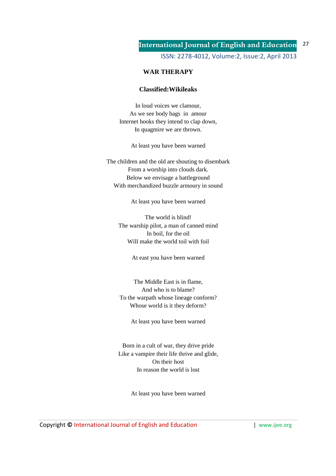## **WAR THERAPY**

### **Classified:Wikileaks**

In loud voices we clamour, As we see body bags in amour Internet hooks they intend to clap down, In quagmire we are thrown.

At least you have been warned

The children and the old are shouting to disembark From a worship into clouds dark. Below we envisage a battleground With merchandized buzzle armoury in sound

At least you have been warned

The world is blind! The warship pilot, a man of canned mind In boil, for the oil Will make the world toil with foil

At east you have been warned

The Middle East is in flame, And who is to blame? To the warpath whose lineage conform? Whose world is it they deform?

At least you have been warned

Born in a cult of war, they drive pride Like a vampire their life thrive and glide, On their host In reason the world is lost

At least you have been warned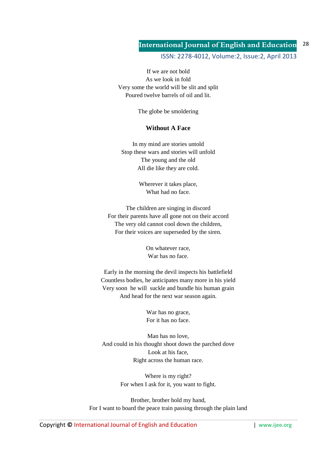ISSN: 2278-4012, Volume:2, Issue:2, April 2013

If we are not bold As we look in fold Very some the world will be slit and split Poured twelve barrels of oil and lit.

The globe be smoldering

### **Without A Face**

In my mind are stories untold Stop these wars and stories will unfold The young and the old All die like they are cold.

> Wherever it takes place, What had no face.

The children are singing in discord For their parents have all gone not on their accord The very old cannot cool down the children, For their voices are superseded by the siren.

> On whatever race, War has no face.

Early in the morning the devil inspects his battlefield Countless bodies, he anticipates many more in his yield Very soon he will suckle and bundle his human grain And head for the next war season again.

> War has no grace, For it has no face.

Man has no love, And could in his thought shoot down the parched dove Look at his face, Right across the human race.

> Where is my right? For when I ask for it, you want to fight.

Brother, brother hold my hand, For I want to board the peace train passing through the plain land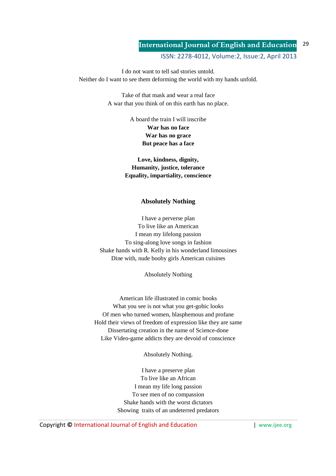ISSN: 2278-4012, Volume:2, Issue:2, April 2013

I do not want to tell sad stories untold. Neither do I want to see them deforming the world with my hands unfold.

> Take of that mask and wear a real face A war that you think of on this earth has no place.

> > A board the train I will inscribe **War has no face War has no grace But peace has a face**

**Love, kindness, dignity, Humanity, justice, tolerance Equality, impartiality, conscience**

### **Absolutely Nothing**

I have a perverse plan To live like an American I mean my lifelong passion To sing-along love songs in fashion Shake hands with R. Kelly in his wonderland limousines Dine with, nude booby girls American cuisines

Absolutely Nothing

American life illustrated in comic books What you see is not what you get-gobic looks Of men who turned women, blasphemous and profane Hold their views of freedom of expression like they are same Dissertating creation in the name of Science-done Like Video-game addicts they are devoid of conscience

Absolutely Nothing.

I have a preserve plan To live like an African I mean my life long passion To see men of no compassion Shake hands with the worst dictators Showing traits of an undeterred predators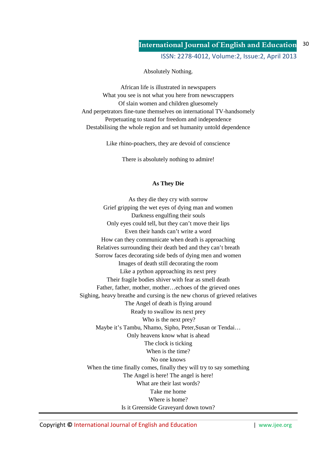ISSN: 2278-4012, Volume:2, Issue:2, April 2013

Absolutely Nothing.

African life is illustrated in newspapers What you see is not what you here from newscrappers Of slain women and children gluesomely And perpetrators fine-tune themselves on international TV-handsomely Perpetuating to stand for freedom and independence Destabilising the whole region and set humanity untold dependence

Like rhino-poachers, they are devoid of conscience

There is absolutely nothing to admire!

### **As They Die**

As they die they cry with sorrow Grief gripping the wet eyes of dying man and women Darkness engulfing their souls Only eyes could tell, but they can't move their lips Even their hands can't write a word How can they communicate when death is approaching Relatives surrounding their death bed and they can't breath Sorrow faces decorating side beds of dying men and women Images of death still decorating the room Like a python approaching its next prey Their fragile bodies shiver with fear as smell death Father, father, mother, mother…echoes of the grieved ones Sighing, heavy breathe and cursing is the new chorus of grieved relatives The Angel of death is flying around Ready to swallow its next prey Who is the next prey? Maybe it's Tambu, Nhamo, Sipho, Peter,Susan or Tendai… Only heavens know what is ahead The clock is ticking When is the time? No one knows When the time finally comes, finally they will try to say something The Angel is here! The angel is here! What are their last words? Take me home Where is home? Is it Greenside Graveyard down town?

Copyright **©** International Journal of English and Education | www.ijee.org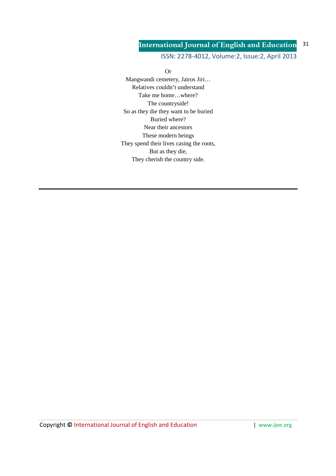ISSN: 2278-4012, Volume:2, Issue:2, April 2013

Or Mangwandi cemetery, Jairos Jiri… Relatives couldn't understand Take me home…where? The countryside! So as they die they want to be buried Buried where? Near their ancestors These modern beings They spend their lives casing the roots, But as they die, They cherish the country side.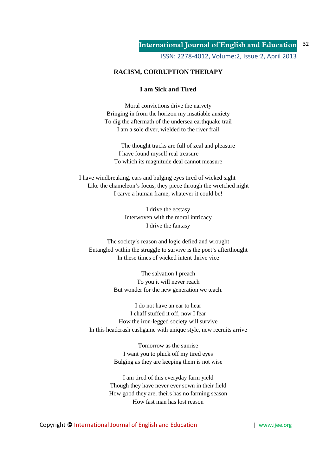## **RACISM, CORRUPTION THERAPY**

### **I am Sick and Tired**

Moral convictions drive the naivety Bringing in from the horizon my insatiable anxiety To dig the aftermath of the undersea earthquake trail I am a sole diver, wielded to the river frail

The thought tracks are full of zeal and pleasure I have found myself real treasure To which its magnitude deal cannot measure

I have windbreaking, ears and bulging eyes tired of wicked sight Like the chameleon's focus, they piece through the wretched night I carve a human frame, whatever it could be!

> I drive the ecstasy Interwoven with the moral intricacy I drive the fantasy

The society's reason and logic defied and wrought Entangled within the struggle to survive is the poet's afterthought In these times of wicked intent thrive vice

> The salvation I preach To you it will never reach But wonder for the new generation we teach.

I do not have an ear to hear I chaff stuffed it off, now I fear How the iron-legged society will survive In this headcrash cashgame with unique style, new recruits arrive

> Tomorrow as the sunrise I want you to pluck off my tired eyes Bulging as they are keeping them is not wise

I am tired of this everyday farm yield Though they have never ever sown in their field How good they are, theirs has no farming season How fast man has lost reason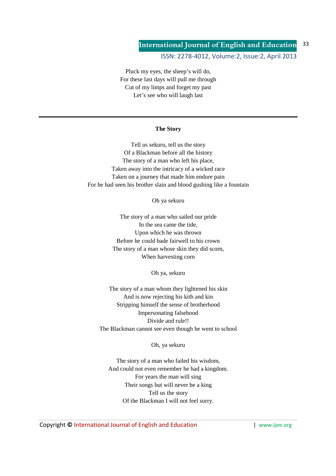ISSN: 2278-4012, Volume:2, Issue:2, April 2013

Pluck my eyes, the sheep's will do, For these last days will pull me through Cut of my limps and forget my past Let's see who will laugh last

### **The Story**

Tell us sekuru, tell us the story Of a Blackman before all the history The story of a man who left his place, Taken away into the intricacy of a wicked race Taken on a journey that made him endure pain For he had seen his brother slain and blood gushing like a fountain

Oh ya sekuru

The story of a man who sailed our pride In the sea came the tide, Upon which he was thrown Before he could bade fairwell to his crown The story of a man whose skin they did scorn, When harvesting corn

Oh ya, sekuru

The story of a man whom they lightened his skin And is now rejecting his kith and kin Stripping himself the sense of brotherhood Impersonating falsehood Divide and rule!! The Blackman cannot see even though he went to school

Oh, ya sekuru

The story of a man who failed his wisdom, And could not even remember he had a kingdom. For years the man will sing Their songs but will never be a king Tell us the story Of the Blackman I will not feel sorry.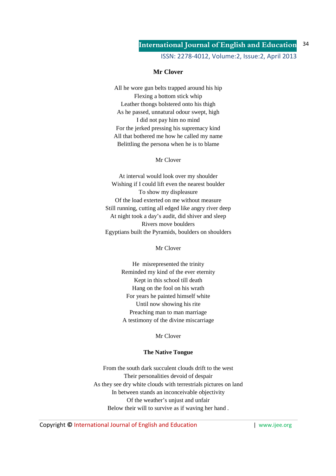ISSN: 2278-4012, Volume:2, Issue:2, April 2013

### **Mr Clover**

All he wore gun belts trapped around his hip Flexing a bottom stick whip Leather thongs bolstered onto his thigh As he passed, unnatural odour swept, high I did not pay him no mind For the jerked pressing his supremacy kind All that bothered me how he called my name Belittling the persona when he is to blame

### Mr Clover

At interval would look over my shoulder Wishing if I could lift even the nearest boulder To show my displeasure Of the load exterted on me without measure Still running, cutting all edged like angry river deep At night took a day's audit, did shiver and sleep Rivers move boulders Egyptians built the Pyramids, boulders on shoulders

Mr Clover

He misrepresented the trinity Reminded my kind of the ever eternity Kept in this school till death Hang on the fool on his wrath For years he painted himself white Until now showing his rite Preaching man to man marriage A testimony of the divine miscarriage

Mr Clover

### **The Native Tongue**

From the south dark succulent clouds drift to the west Their personalities devoid of despair As they see dry white clouds with terrestrials pictures on land In between stands an inconceivable objectivity Of the weather's unjust and unfair Below their will to survive as if waving her hand .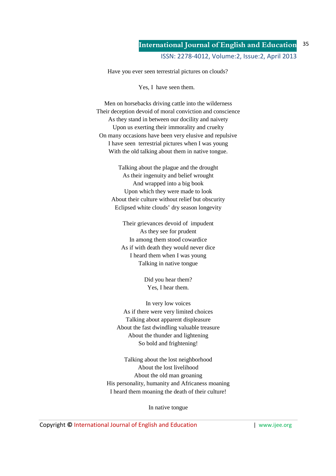Have you ever seen terrestrial pictures on clouds?

Yes, I have seen them.

Men on horsebacks driving cattle into the wilderness Their deception devoid of moral conviction and conscience As they stand in between our docility and naivety Upon us exerting their immorality and cruelty On many occasions have been very elusive and repulsive I have seen terrestrial pictures when I was young With the old talking about them in native tongue.

> Talking about the plague and the drought As their ingenuity and belief wrought And wrapped into a big book Upon which they were made to look About their culture without relief but obscurity Eclipsed white clouds' dry season longevity

Their grievances devoid of impudent As they see for prudent In among them stood cowardice As if with death they would never dice I heard them when I was young Talking in native tongue

> Did you hear them? Yes, I hear them.

In very low voices As if there were very limited choices Talking about apparent displeasure About the fast dwindling valuable treasure About the thunder and lightening So bold and frightening!

Talking about the lost neighborhood About the lost livelihood About the old man groaning His personality, humanity and Africaness moaning I heard them moaning the death of their culture!

In native tongue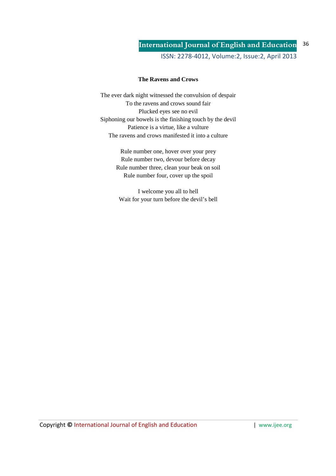ISSN: 2278-4012, Volume:2, Issue:2, April 2013

### **The Ravens and Crows**

The ever dark night witnessed the convulsion of despair To the ravens and crows sound fair Plucked eyes see no evil Siphoning our bowels is the finishing touch by the devil Patience is a virtue, like a vulture The ravens and crows manifested it into a culture

> Rule number one, hover over your prey Rule number two, devour before decay Rule number three, clean your beak on soil Rule number four, cover up the spoil

I welcome you all to hell Wait for your turn before the devil's bell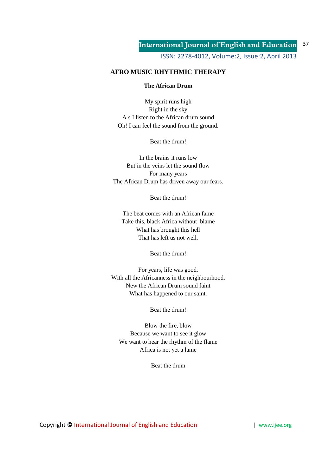## **AFRO MUSIC RHYTHMIC THERAPY**

### **The African Drum**

My spirit runs high Right in the sky A s I listen to the African drum sound Oh! I can feel the sound from the ground.

Beat the drum!

In the brains it runs low But in the veins let the sound flow For many years The African Drum has driven away our fears.

Beat the drum!

The beat comes with an African fame Take this, black Africa without blame What has brought this hell That has left us not well.

Beat the drum!

For years, life was good. With all the Africanness in the neighbourhood. New the African Drum sound faint What has happened to our saint.

Beat the drum!

Blow the fire, blow Because we want to see it glow We want to hear the rhythm of the flame Africa is not yet a lame

Beat the drum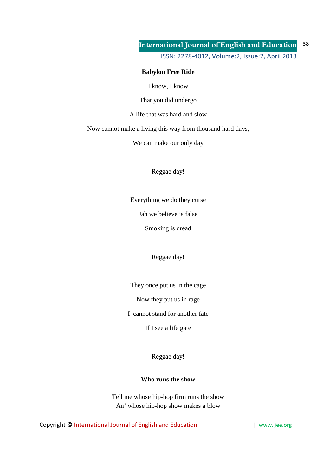ISSN: 2278-4012, Volume:2, Issue:2, April 2013

## **Babylon Free Ride**

I know, I know

That you did undergo

A life that was hard and slow

Now cannot make a living this way from thousand hard days,

We can make our only day

Reggae day!

Everything we do they curse

Jah we believe is false

Smoking is dread

Reggae day!

They once put us in the cage

Now they put us in rage

I cannot stand for another fate

If I see a life gate

Reggae day!

### **Who runs the show**

Tell me whose hip-hop firm runs the show An' whose hip-hop show makes a blow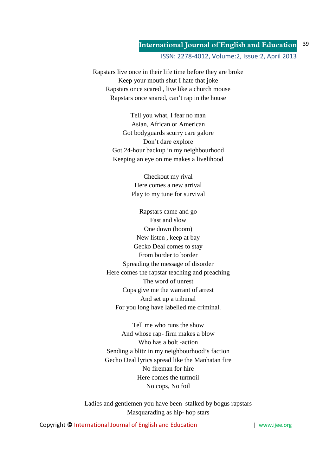ISSN: 2278-4012, Volume:2, Issue:2, April 2013

Rapstars live once in their life time before they are broke Keep your mouth shut I hate that joke Rapstars once scared , live like a church mouse Rapstars once snared, can't rap in the house

> Tell you what, I fear no man Asian, African or American Got bodyguards scurry care galore Don't dare explore Got 24-hour backup in my neighbourhood Keeping an eye on me makes a livelihood

> > Checkout my rival Here comes a new arrival Play to my tune for survival

Rapstars came and go Fast and slow One down (boom) New listen , keep at bay Gecko Deal comes to stay From border to border Spreading the message of disorder Here comes the rapstar teaching and preaching The word of unrest Cops give me the warrant of arrest And set up a tribunal For you long have labelled me criminal.

Tell me who runs the show And whose rap- firm makes a blow Who has a bolt -action Sending a blitz in my neighbourhood's faction Gecho Deal lyrics spread like the Manhatan fire No fireman for hire Here comes the turmoil No cops, No foil

Ladies and gentlemen you have been stalked by bogus rapstars Masquarading as hip- hop stars

Copyright © International Journal of English and Education **| www.ijee.org** | www.ijee.org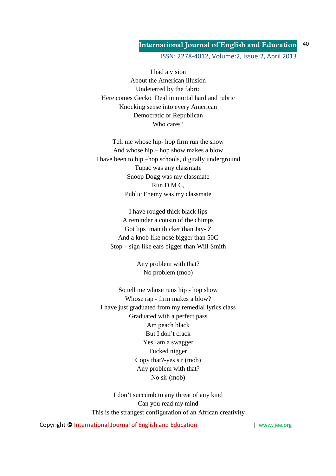## ISSN: 2278-4012, Volume:2, Issue:2, April 2013

I had a vision About the American illusion Undeterred by the fabric Here comes Gecko Deal immortal hard and rubric Knocking sense into every American Democratic or Republican Who cares?

Tell me whose hip- hop firm run the show And whose hip – hop show makes a blow I have been to hip –hop schools, digitally underground Tupac was any classmate Snoop Dogg was my classmate Run D M C, Public Enemy was my classmate

I have rouged thick black lips A reminder a cousin of the chimps Got lips man thicker than Jay- Z And a knob like nose bigger than 50C Stop – sign like ears bigger than Will Smith

> Any problem with that? No problem (mob)

So tell me whose runs hip - hop show Whose rap - firm makes a blow? I have just graduated from my remedial lyrics class Graduated with a perfect pass Am peach black But I don't crack Yes Iam a swagger Fucked nigger Copy that?-yes sir (mob) Any problem with that? No sir (mob)

I don't succumb to any threat of any kind Can you read my mind This is the strangest configuration of an African creativity

Copyright © International Journal of English and Education **| www.ijee.org** | www.ijee.org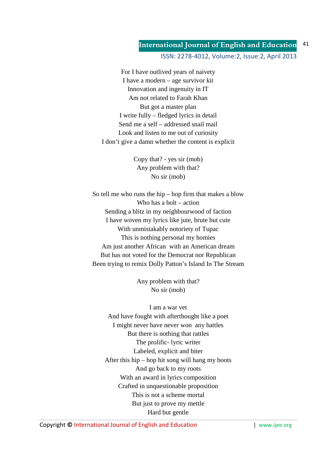ISSN: 2278-4012, Volume:2, Issue:2, April 2013

For I have outlived years of naivety I have a modern – age survivor kit Innovation and ingenuity in IT Am not related to Farah Khan But got a master plan I write fully – fledged lyrics in detail Send me a self – addressed snail mail Look and listen to me out of curiosity I don't give a damn whether the content is explicit

> Copy that? - yes sir (mob) Any problem with that? No sir (mob)

So tell me who runs the hip – hop firm that makes a blow Who has a bolt – action Sending a blitz in my neighbourwood of faction I have woven my lyrics like jute, brute but cute With unmistakably notoriety of Tupac This is nothing personal my homies Am just another African with an American dream But has not voted for the Democrat nor Republican Been trying to remix Dolly Patton's Island In The Stream

> Any problem with that? No sir (mob)

I am a war vet And have fought with afterthought like a poet I might never have never won any battles But there is nothing that rattles The prolific- lyric writer Labeled, explicit and biter After this hip – hop hit song will hang my boots And go back to my roots With an award in lyrics composition Crafted in unquestionable proposition This is not a scheme mortal But just to prove my mettle Hard but gentle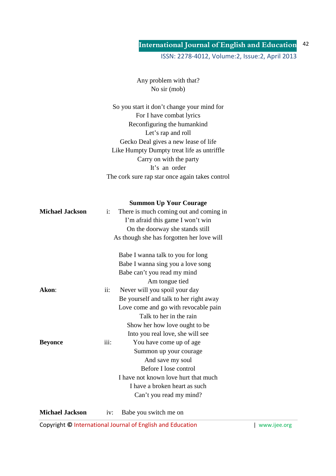Any problem with that? No sir (mob)

So you start it don't change your mind for For I have combat lyrics Reconfiguring the humankind Let's rap and roll Gecko Deal gives a new lease of life Like Humpty Dumpty treat life as untriffle Carry on with the party It's an order The cork sure rap star once again takes control

|                        |                | <b>Summon Up Your Courage</b>             |  |
|------------------------|----------------|-------------------------------------------|--|
| <b>Michael Jackson</b> | $\mathbf{i}$ : | There is much coming out and coming in    |  |
|                        |                | I'm afraid this game I won't win          |  |
|                        |                | On the doorway she stands still           |  |
|                        |                | As though she has forgotten her love will |  |
|                        |                | Babe I wanna talk to you for long         |  |
|                        |                | Babe I wanna sing you a love song         |  |
|                        |                | Babe can't you read my mind               |  |
|                        |                | Am tongue tied                            |  |
| Akon:                  | ii:            | Never will you spoil your day             |  |
|                        |                | Be yourself and talk to her right away    |  |
|                        |                | Love come and go with revocable pain      |  |
|                        |                | Talk to her in the rain                   |  |
|                        |                | Show her how love ought to be             |  |
|                        |                | Into you real love, she will see          |  |
| <b>Beyonce</b>         | iii:           | You have come up of age                   |  |
|                        |                | Summon up your courage                    |  |
|                        |                | And save my soul                          |  |
|                        |                | Before I lose control                     |  |
|                        |                | I have not known love hurt that much      |  |
|                        |                | I have a broken heart as such             |  |
|                        |                | Can't you read my mind?                   |  |
|                        |                |                                           |  |

**Michael Jackson** iv: Babe you switch me on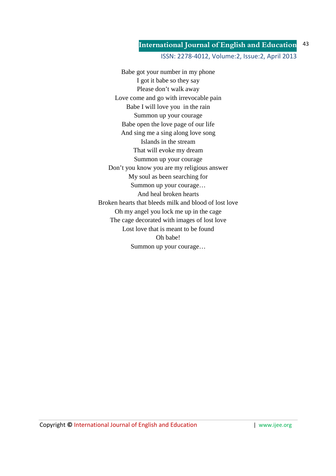### ISSN: 2278-4012, Volume:2, Issue:2, April 2013

Babe got your number in my phone I got it babe so they say Please don't walk away Love come and go with irrevocable pain Babe I will love you in the rain Summon up your courage Babe open the love page of our life And sing me a sing along love song Islands in the stream That will evoke my dream Summon up your courage Don't you know you are my religious answer My soul as been searching for Summon up your courage… And heal broken hearts Broken hearts that bleeds milk and blood of lost love Oh my angel you lock me up in the cage The cage decorated with images of lost love Lost love that is meant to be found Oh babe! Summon up your courage…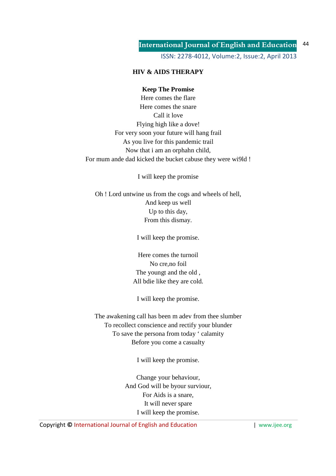ISSN: 2278-4012, Volume:2, Issue:2, April 2013

## **HIV & AIDS THERAPY**

### **Keep The Promise**

Here comes the flare Here comes the snare Call it love Flying high like a dove! For very soon your future will hang frail As you live for this pandemic trail Now that i am an orphahn child, For mum ande dad kicked the bucket cabuse they were wi9ld !

I will keep the promise

Oh ! Lord untwine us from the cogs and wheels of hell, And keep us well Up to this day, From this dismay.

I will keep the promise.

Here comes the turnoil No cre,no foil The youngt and the old , All bdie like they are cold.

I will keep the promise.

The awakening call has been m adev from thee slumber To recollect conscience and rectify your blunder To save the persona from today ' calamity Before you come a casualty

I will keep the promise.

Change your behaviour, And God will be byour surviour, For Aids is a snare, It will never spare I will keep the promise.